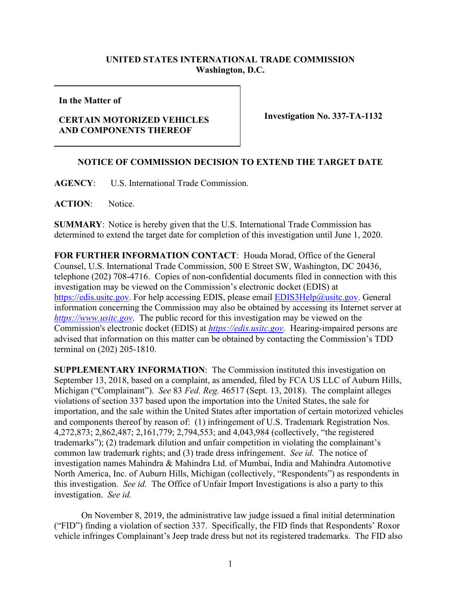## **UNITED STATES INTERNATIONAL TRADE COMMISSION Washington, D.C.**

**In the Matter of**

## **CERTAIN MOTORIZED VEHICLES AND COMPONENTS THEREOF**

**Investigation No. 337-TA-1132**

## **NOTICE OF COMMISSION DECISION TO EXTEND THE TARGET DATE**

**AGENCY**: U.S. International Trade Commission.

**ACTION**: Notice.

**SUMMARY**: Notice is hereby given that the U.S. International Trade Commission has determined to extend the target date for completion of this investigation until June 1, 2020.

**FOR FURTHER INFORMATION CONTACT**: Houda Morad, Office of the General Counsel, U.S. International Trade Commission, 500 E Street SW, Washington, DC 20436, telephone (202) 708-4716. Copies of non-confidential documents filed in connection with this investigation may be viewed on the Commission's electronic docket (EDIS) at [https://edis.usitc.gov.](https://edis.usitc.gov/) For help accessing EDIS, please email [EDIS3Help@usitc.gov.](mailto:EDIS3Help@usitc.gov) General information concerning the Commission may also be obtained by accessing its Internet server at *[https://www.usitc.gov](https://www.usitc.gov/)*. The public record for this investigation may be viewed on the Commission's electronic docket (EDIS) at *[https://edis.usitc.gov](https://edis.usitc.gov/)*. Hearing-impaired persons are advised that information on this matter can be obtained by contacting the Commission's TDD terminal on (202) 205-1810.

**SUPPLEMENTARY INFORMATION**: The Commission instituted this investigation on September 13, 2018, based on a complaint, as amended, filed by FCA US LLC of Auburn Hills, Michigan ("Complainant"). *See* 83 *Fed. Reg.* 46517 (Sept. 13, 2018). The complaint alleges violations of section 337 based upon the importation into the United States, the sale for importation, and the sale within the United States after importation of certain motorized vehicles and components thereof by reason of: (1) infringement of U.S. Trademark Registration Nos. 4,272,873; 2,862,487; 2,161,779; 2,794,553; and 4,043,984 (collectively, "the registered trademarks"); (2) trademark dilution and unfair competition in violating the complainant's common law trademark rights; and (3) trade dress infringement. *See id.* The notice of investigation names Mahindra & Mahindra Ltd. of Mumbai, India and Mahindra Automotive North America, Inc. of Auburn Hills, Michigan (collectively, "Respondents") as respondents in this investigation. *See id.* The Office of Unfair Import Investigations is also a party to this investigation. *See id.* 

On November 8, 2019, the administrative law judge issued a final initial determination ("FID") finding a violation of section 337. Specifically, the FID finds that Respondents' Roxor vehicle infringes Complainant's Jeep trade dress but not its registered trademarks. The FID also